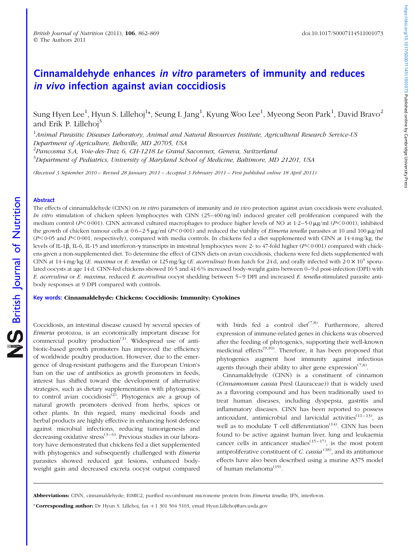# Cinnamaldehyde enhances in vitro parameters of immunity and reduces in vivo infection against avian coccidiosis

Sung Hyen Lee $^1$ , Hyun S. Lillehoj $^{1*}$ , Seung I. Jang $^1$ , Kyung Woo Lee $^1$ , Myeong Seon Park $^1$ , David Bravo $^2$ and Erik P. Lillehoi<sup>3</sup>

<sup>1</sup>Animal Parasitic Diseases Laboratory, Animal and Natural Resources Institute, Agricultural Research Service-US Department of Agriculture, Beltsville, MD 20705, USA

 $^{2}$ Pancosma S.A, Voie-des-Traz 6, CH-1218 Le Grand Saconnex, Geneva, Switzerland

 $^3$ Department of Pediatrics, University of Maryland School of Medicine, Baltimore, MD 21201, USA

(Received 3 September 2010 – Revised 28 January 2011 – Accepted 3 February 2011 – First published online 18 April 2011)

# Abstract

The effects of cinnamaldehyde (CINN) on *in vitro* parameters of immunity and *in vivo* protection against avian coccidiosis were evaluated. In vitro stimulation of chicken spleen lymphocytes with CINN (25–400 ng/ml) induced greater cell proliferation compared with the medium control (P<0.001). CINN activated cultured macrophages to produce higher levels of NO at  $1.2-5.0 \,\mu g/m$  (P<0.001), inhibited the growth of chicken tumour cells at  $0.6-2.5 \mu g/ml$  (P<0.001) and reduced the viability of *Eimeria tenella* parasites at 10 and 100  $\mu g/ml$  $(P<0.05$  and  $P<0.001$ , respectively), compared with media controls. In chickens fed a diet supplemented with CINN at 14.4 mg/kg, the levels of IL-1β, IL-6, IL-15 and interferon-γ transcripts in intestinal lymphocytes were 2- to 47-fold higher (P<0·001) compared with chickens given a non-supplemented diet. To determine the effect of CINN diets on avian coccidiosis, chickens were fed diets supplemented with CINN at  $14.4$  mg/kg (E. maxima or E. tenella) or  $125$  mg/kg (E. acervulina) from hatch for  $24$  d, and orally infected with  $2.0 \times 10^4$  sporulated oocysts at age 14 d. CINN-fed chickens showed 16·5 and 41·6 % increased body-weight gains between 0–9 d post-infection (DPI) with E. acervulina or E. maxima, reduced E. acervulina oocyst shedding between 5–9 DPI and increased E. tenella-stimulated parasite antibody responses at 9 DPI compared with controls.

Key words: Cinnamaldehyde: Chickens: Coccidiosis: Immunity: Cytokines

Coccidiosis, an intestinal disease caused by several species of Eimeria protozoa, is an economically important disease for commercial poultry production<sup> $(1)$ </sup>. Widespread use of antibiotic-based growth promoters has improved the efficiency of worldwide poultry production. However, due to the emergence of drug-resistant pathogens and the European Union's ban on the use of antibiotics as growth promoters in feeds, interest has shifted toward the development of alternative strategies, such as dietary supplementation with phytogenics, to control avian coccidiosis<sup>(2)</sup>. Phytogenics are a group of natural growth promoters derived from herbs, spices or other plants. In this regard, many medicinal foods and herbal products are highly effective in enhancing host defence against microbial infections, reducing tumorigenesis and decreasing oxidative stress<sup> $(3-6)$ </sup>. Previous studies in our laboratory have demonstrated that chickens fed a diet supplemented with phytogenics and subsequently challenged with *Eimeria* parasites showed reduced gut lesions, enhanced bodyweight gain and decreased excreta oocyst output compared

with birds fed a control diet<sup> $(7,8)$ </sup>. Furthermore, altered expression of immune-related genes in chickens was observed after the feeding of phytogenics, supporting their well-known medicinal effects $(9,10)$ . Therefore, it has been proposed that phytogenics augment host immunity against infectious agents through their ability to alter gene expression<sup> $(7,8)$ </sup>.

Cinnamaldehyde (CINN) is a constituent of cinnamon (Cinnamomum cassia Presl (Lauraceae)) that is widely used as a flavoring compound and has been traditionally used to treat human diseases, including dyspepsia, gastritis and inflammatory diseases. CINN has been reported to possess antioxidant, antimicrobial and larvicidal activities<sup> $(11-13)$ </sup>, as well as to modulate T cell differentiation<sup> $(14)$ </sup>. CINN has been found to be active against human liver, lung and leukaemia cancer cells in anticancer studies<sup>(15–17)</sup>, is the most potent antiproliferative constituent of  $C$ . cassia<sup>(18)</sup>, and its antitumour effects have also been described using a murine A375 model of human melanoma<sup>(19)</sup>.

Abbreviations: CINN, cinnamaldehyde; EtMIC2, purified recombinant microneme protein from Eimeria tenella; IFN, interferon.

<sup>\*</sup> **Corresponding author:** Dr Hyun S. Lillehoj, fax +1 301 504 5103, email Hyun.Lillehoj@ars.usda.gov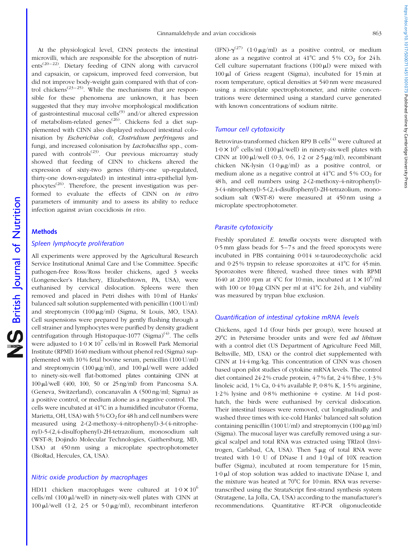At the physiological level, CINN protects the intestinal microvilli, which are responsible for the absorption of nutrients<sup> $(20-22)$ </sup>. Dietary feeding of CINN along with carvacrol and capsaicin, or capsicum, improved feed conversion, but did not improve body-weight gain compared with that of control chickens<sup> $(23-25)$ </sup>. While the mechanisms that are responsible for these phenomena are unknown, it has been suggested that they may involve morphological modification of gastrointestinal mucosal cells<sup>(9)</sup> and/or altered expression of metabolism-related genes<sup>(26)</sup>. Chickens fed a diet supplemented with CINN also displayed reduced intestinal colonisation by Escherichia coli, Clostridium perfringens and fungi, and increased colonisation by *Lactobacillus* spp., compared with controls<sup>(23)</sup>. Our previous microarray study showed that feeding of CINN to chickens altered the expression of sixty-two genes (thirty-one up-regulated, thirty-one down-regulated) in intestinal intra-epithelial lymphocytes<sup> $(26)$ </sup>. Therefore, the present investigation was performed to evaluate the effects of CINN on in vitro parameters of immunity and to assess its ability to reduce infection against avian coccidiosis in vivo.

# **Methods**

#### Spleen lymphocyte proliferation

All experiments were approved by the Agricultural Research Service Institutional Animal Care and Use Committee. Specific pathogen-free Ross/Ross broiler chickens, aged 3 weeks (Longenecker's Hatchery, Elizabethtown, PA, USA), were euthanised by cervical dislocation. Spleens were then removed and placed in Petri dishes with 10 ml of Hanks' balanced salt solution supplemented with penicillin (100 U/ml) and streptomycin  $(100 \mu g/ml)$  (Sigma, St Louis, MO, USA). Cell suspensions were prepared by gently flushing through a cell strainer and lymphocytes were purified by density gradient centrifugation through Histopaque-1077 (Sigma)<sup>(4)</sup>. The cells were adjusted to  $1.0 \times 10^7$  cells/ml in Roswell Park Memorial Institute (RPMI) 1640 medium without phenol red (Sigma) supplemented with 10 % fetal bovine serum, penicillin (100 U/ml) and streptomycin (100  $\mu$ g/ml), and 100  $\mu$ l/well were added to ninety-six-well flat-bottomed plates containing CINN at  $100 \mu$ l/well (400, 100, 50 or 25 ng/ml) from Pancosma S.A. (Geneva, Switzerland), concanavalin A (500 ng/ml; Sigma) as a positive control, or medium alone as a negative control. The cells were incubated at  $41^{\circ}$ C in a humidified incubator (Forma, Marietta, OH, USA) with  $5\%$  CO<sub>2</sub> for 48 h and cell numbers were measured using 2-(2-methoxy-4-nitrophenyl)-3-(4-nitrophenyl)-5-(2,4-disulfophenyl)-2H-tetrazolium, monosodium salt (WST-8; Dojindo Molecular Technologies, Gaithersburg, MD, USA) at 450 nm using a microplate spectrophotometer (BioRad, Hercules, CA, USA).

## Nitric oxide production by macrophages

HD11 chicken macrophages were cultured at  $1.0 \times 10^6$ cells/ml (100  $\mu$ l/well) in ninety-six-well plates with CINN at 100  $\mu$ l/well (1.2, 2.5 or 5.0  $\mu$ g/ml), recombinant interferon (IFN)- $\gamma^{(27)}$  (1·0  $\mu$ g/ml) as a positive control, or medium alone as a negative control at  $41^{\circ}$ C and  $5\%$  CO<sub>2</sub> for 24h. Cell culture supernatant fractions  $(100 \mu l)$  were mixed with  $100 \mu l$  of Griess reagent (Sigma), incubated for 15 min at room temperature, optical densities at 540 nm were measured using a microplate spectrophotometer, and nitrite concentrations were determined using a standard curve generated with known concentrations of sodium nitrite.

## Tumour cell cytotoxicity

Retrovirus-transformed chicken RP9 B cells<sup>(4)</sup> were cultured at  $1.0 \times 10^6$  cells/ml (100  $\mu$ l/well) in ninety-six-well plates with CINN at 100  $\mu$ l/well (0·3, 0·6, 1·2 or 2·5  $\mu$ g/ml), recombinant chicken NK-lysin  $(1.0 \mu g/ml)$  as a positive control, or medium alone as a negative control at  $41^{\circ}$ C and 5% CO<sub>2</sub> for 48 h, and cell numbers using 2-(2-methoxy-4-nitrophenyl)- 3-(4-nitrophenyl)-5-(2,4-disulfophenyl)-2H-tetrazolium, monosodium salt (WST-8) were measured at 450 nm using a microplate spectrophotometer.

#### Parasite cytotoxicity

Freshly sporulated E. tenella oocysts were disrupted with 0·5 mm glass beads for 5–7 s and the freed sporocysts were incubated in PBS containing 0·014 M-taurodeoxycholic acid and 0.25% trypsin to release sporozoites at  $41^{\circ}$ C for  $45$  min. Sporozoites were filtered, washed three times with RPMI 1640 at 2100 rpm at 4°C for 10 min, incubated at  $1 \times 10^6$ /ml with 100 or 10  $\mu$ g CINN per ml at 41<sup>o</sup>C for 24 h, and viability was measured by trypan blue exclusion.

#### Quantification of intestinal cytokine mRNA levels

Chickens, aged 1 d (four birds per group), were housed at 29°C in Petersime brooder units and were fed *ad libitum* with a control diet (US Department of Agriculture Feed Mill, Beltsville, MD, USA) or the control diet supplemented with CINN at 14·4 mg/kg. This concentration of CINN was chosen based upon pilot studies of cytokine mRNA levels. The control diet contained 24·2 % crude protein, 4·7 % fat, 2·4 % fibre, 1·3 % linoleic acid, 1 % Ca, 0·4 % available P, 0·8 % K, 1·5 % arginine,  $1.2\%$  lysine and  $0.8\%$  methionine  $+$  cystine. At 14 d posthatch, the birds were euthanised by cervical dislocation. Their intestinal tissues were removed, cut longitudinally and washed three times with ice-cold Hanks' balanced salt solution containing penicillin (100 U/ml) and streptomycin (100  $\mu$ g/ml) (Sigma). The mucosal layer was carefully removed using a surgical scalpel and total RNA was extracted using TRIzol (Invitrogen, Carlsbad, CA, USA). Then  $5 \mu$ g of total RNA were treated with 1.0 U of DNase I and  $1.0 \mu l$  of 10X reaction buffer (Sigma), incubated at room temperature for 15 min,  $1.0 \mu$ l of stop solution was added to inactivate DNase I, and the mixture was heated at  $70^{\circ}$ C for 10 min. RNA was reversetranscribed using the StrataScript first-strand synthesis system (Stratagene, La Jolla, CA, USA) according to the manufacturer's recommendations. Quantitative RT-PCR oligonucleotide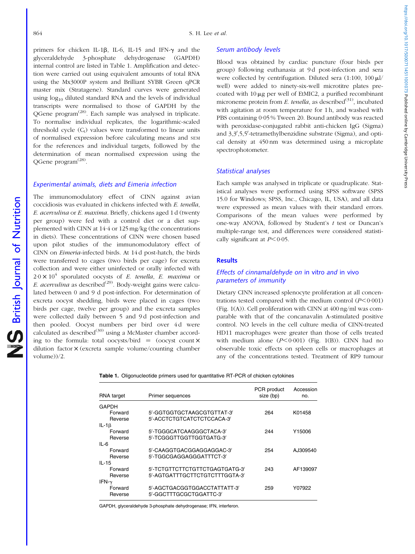https://doi.org/10.1017/S0007114511001073 Published online by Cambridge University Pres https://doi.org/10.1017/S0007114511001073 Published online by Cambridge University Press

primers for chicken IL-1 $\beta$ , IL-6, IL-15 and IFN- $\nu$  and the glyceraldehyde 3-phosphate dehydrogenase (GAPDH) internal control are listed in Table 1. Amplification and detection were carried out using equivalent amounts of total RNA using the Mx3000P system and Brilliant SYBR Green qPCR master mix (Stratagene). Standard curves were generated using  $log_{10}$  diluted standard RNA and the levels of individual transcripts were normalised to those of GAPDH by the QGene program<sup>(28)</sup>. Each sample was analysed in triplicate. To normalise individual replicates, the logarithmic-scaled threshold cycle  $(C_t)$  values were transformed to linear units of normalised expression before calculating means and SEM for the references and individual targets, followed by the determination of mean normalised expression using the QGene program<sup>(28)</sup>.

## Experimental animals, diets and Eimeria infection

The immunomodulatory effect of CINN against avian coccidiosis was evaluated in chickens infected with E. tenella, E. acervulina or E. maxima. Briefly, chickens aged 1 d (twenty per group) were fed with a control diet or a diet supplemented with CINN at 14·4 or 125 mg/kg (the concentrations in diets). These concentrations of CINN were chosen based upon pilot studies of the immunomodulatory effect of CINN on Eimeria-infected birds. At 14 d post-hatch, the birds were transferred to cages (two birds per cage) for excreta collection and were either uninfected or orally infected with  $2.0 \times 10^4$  sporulated oocysts of *E. tenella, E. maxima* or E. acervulina as described<sup>(29)</sup>. Body-weight gains were calculated between 0 and 9 d post-infection. For determination of excreta oocyst shedding, birds were placed in cages (two birds per cage, twelve per group) and the excreta samples were collected daily between 5 and 9d post-infection and then pooled. Oocyst numbers per bird over 4d were calculated as described<sup>(30)</sup> using a McMaster chamber according to the formula: total oocysts/bird  $=$  (oocyst count  $\times$ dilution factor  $\times$  (excreta sample volume/counting chamber volume))/2.

## Serum antibody levels

Blood was obtained by cardiac puncture (four birds per group) following euthanasia at 9 d post-infection and sera were collected by centrifugation. Diluted sera  $(1:100, 100 \,\mu$ l/ well) were added to ninety-six-well microtitre plates precoated with  $10 \mu$ g per well of EtMIC2, a purified recombinant microneme protein from E. tenella, as described $(31)$ , incubated with agitation at room temperature for 1 h, and washed with PBS containing 0·05 % Tween 20. Bound antibody was reacted with peroxidase-conjugated rabbit anti-chicken IgG (Sigma) and 3,3',5,5'-tetramethylbenzidine substrate (Sigma), and optical density at 450 nm was determined using a microplate spectrophotometer.

#### Statistical analyses

Each sample was analysed in triplicate or quadruplicate. Statistical analyses were performed using SPSS software (SPSS 15.0 for Windows; SPSS, Inc., Chicago, IL, USA), and all data were expressed as mean values with their standard errors. Comparisons of the mean values were performed by one-way ANOVA, followed by Student's  $t$  test or Duncan's multiple-range test, and differences were considered statistically significant at  $P < 0.05$ .

#### **Results**

## Effects of cinnamaldehyde on in vitro and in vivo parameters of immunity

Dietary CINN increased splenocyte proliferation at all concentrations tested compared with the medium control  $(P<0.001)$ [\(Fig. 1\(A\)](#page-3-0)). Cell proliferation with CINN at 400 ng/ml was comparable with that of the concanavalin A-stimulated positive control. NO levels in the cell culture media of CINN-treated HD11 macrophages were greater than those of cells treated with medium alone  $(P<0.001)$  [\(Fig. 1\(B\)](#page-3-0)). CINN had no observable toxic effects on spleen cells or macrophages at any of the concentrations tested. Treatment of RP9 tumour

|  |  |  |  | Table 1. Oligonucleotide primers used for quantitative RT-PCR of chicken cytokines |
|--|--|--|--|------------------------------------------------------------------------------------|
|--|--|--|--|------------------------------------------------------------------------------------|

| RNA target         | Primer sequences                                         | PCR product<br>size (bp) | Accession<br>no. |
|--------------------|----------------------------------------------------------|--------------------------|------------------|
| <b>GAPDH</b>       |                                                          |                          |                  |
| Forward<br>Reverse | 5'-GGTGGTGCTAAGCGTGTTAT-3'<br>5'-ACCTCTGTCATCTCTCCACA-3' | 264                      | K01458           |
| IL-1 $\beta$       |                                                          |                          |                  |
| Forward            | 5'-TGGGCATCAAGGGCTACA-3'                                 | 244                      | Y15006           |
| Reverse            | 5'-TCGGGTTGGTTGGTGATG-3'                                 |                          |                  |
| $IL-6$             |                                                          |                          |                  |
| Forward            | 5'-CAAGGTGACGGAGGAGGAC-3'                                | 254                      | AJ309540         |
| Reverse            | 5'-TGGCGAGGAGGGATTTCT-3'                                 |                          |                  |
| $IL-15$            |                                                          |                          |                  |
| Forward            | 5'-TCTGTTCTTCTGTTCTGAGTGATG-3'                           | 243                      | AF139097         |
| Reverse            | 5'-AGTGATTTGCTTCTGTCTTTGGTA-3'                           |                          |                  |
| IFN- $\gamma$      |                                                          |                          |                  |
| Forward            | 5'-AGCTGACGGTGGACCTATTATT-3'                             | 259                      | Y07922           |
| Reverse            | 5'-GGCTTTGCGCTGGATTC-3'                                  |                          |                  |

GAPDH, glyceraldehyde 3-phosphate dehydrogenase; IFN, interferon.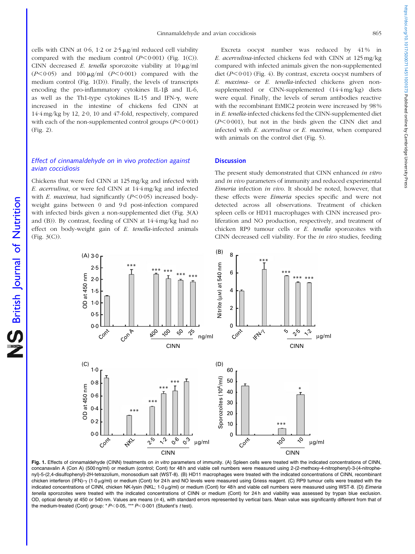<span id="page-3-0"></span>cells with CINN at  $0.6$ ,  $1.2$  or  $2.5 \mu$ g/ml reduced cell viability compared with the medium control  $(P<0.001)$  (Fig. 1(C)). CINN decreased E. tenella sporozoite viability at  $10 \mu g/ml$  $(P<0.05)$  and  $100 \mu g/ml$   $(P<0.001)$  compared with the medium control (Fig. 1(D)). Finally, the levels of transcripts encoding the pro-inflammatory cytokines IL-1 $\beta$  and IL-6, as well as the Th1-type cytokines IL-15 and IFN-g, were increased in the intestine of chickens fed CINN at 14·4 mg/kg by 12, 2·0, 10 and 47-fold, respectively, compared with each of the non-supplemented control groups  $(P<0.001)$ ([Fig. 2](#page-4-0)).

# Effect of cinnamaldehyde on in vivo protection against avian coccidiosis

Chickens that were fed CINN at 125 mg/kg and infected with E. acervulina, or were fed CINN at 14·4 mg/kg and infected with E. maxima, had significantly  $(P<0.05)$  increased bodyweight gains between 0 and 9d post-infection compared with infected birds given a non-supplemented diet [\(Fig. 3\(A\)](#page-5-0) and (B)). By contrast, feeding of CINN at 14·4 mg/kg had no effect on body-weight gain of E. tenella-infected animals ([Fig. 3\(C\)](#page-5-0)).

Excreta oocyst number was reduced by 41% in E. acervulina-infected chickens fed with CINN at 125 mg/kg compared with infected animals given the non-supplemented diet  $(P<0.01)$  [\(Fig. 4\)](#page-5-0). By contrast, excreta oocyst numbers of E. maxima- or E. tenella-infected chickens given nonsupplemented or CINN-supplemented (14·4 mg/kg) diets were equal. Finally, the levels of serum antibodies reactive with the recombinant EtMIC2 protein were increased by 98 % in E. tenella-infected chickens fed the CINN-supplemented diet  $(P<0.001)$ , but not in the birds given the CINN diet and infected with E. acervulina or E. maxima, when compared with animals on the control diet [\(Fig. 5\)](#page-6-0).

#### **Discussion**

The present study demonstrated that CINN enhanced in vitro and in vivo parameters of immunity and reduced experimental Eimeria infection in vivo. It should be noted, however, that these effects were *Eimeria* species specific and were not detected across all observations. Treatment of chicken spleen cells or HD11 macrophages with CINN increased proliferation and NO production, respectively, and treatment of chicken RP9 tumour cells or E. tenella sporozoites with CINN decreased cell viability. For the in vivo studies, feeding



Fig. 1. Effects of cinnamaldehyde (CINN) treatments on in vitro parameters of immunity. (A) Spleen cells were treated with the indicated concentrations of CINN, concanavalin A (Con A) (500 ng/ml) or medium (control; Cont) for 48 h and viable cell numbers were measured using 2-(2-methoxy-4-nitrophenyl)-3-(4-nitrophenyl)-5-(2,4-disulfophenyl)-2H-tetrazolium, monosodium salt (WST-8). (B) HD11 macrophages were treated with the indicated concentrations of CINN, recombinant chicken interferon (IFN)- $\gamma$  (1.0  $\mu$ g/ml) or medium (Cont) for 24 h and NO levels were measured using Griess reagent. (C) RP9 tumour cells were treated with the indicated concentrations of CINN, chicken NK-lysin (NKL; 1·0µg/ml) or medium (Cont) for 48 h and viable cell numbers were measured using WST-8. (D) Eimeria tenella sporozoites were treated with the indicated concentrations of CINN or medium (Cont) for 24h and viability was assessed by trypan blue exclusion. OD, optical density at 450 or 540 nm. Values are means ( $n$  4), with standard errors represented by vertical bars. Mean value was significantly different from that of the medium-treated (Cont) group:  $* P < 0.05$ ,  $*** P < 0.001$  (Student's t test).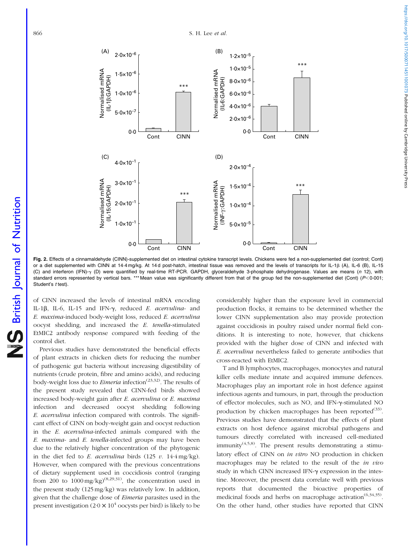<span id="page-4-0"></span>

Fig. 2. Effects of a cinnamaldehyde (CINN)-supplemented diet on intestinal cytokine transcript levels. Chickens were fed a non-supplemented diet (control; Cont) or a diet supplemented with CINN at 14·4 mg/kg. At 14d post-hatch, intestinal tissue was removed and the levels of transcripts for IL-1 $\beta$  (A), IL-6 (B), IL-15 (C) and interferon (IFN)- $\gamma$  (D) were quantified by real-time RT-PCR. GAPDH, glyceraldehyde 3-phosphate dehydrogenase. Values are means (n 12), with standard errors represented by vertical bars. \*\*\* Mean value was significantly different from that of the group fed the non-supplemented diet (Cont) (P<0.001; Student's t test).

of CINN increased the levels of intestinal mRNA encoding IL-1 $\beta$ , IL-6, IL-15 and IFN- $\gamma$ , reduced E. acervulina- and E. maxima-induced body-weight loss, reduced E. acervulina oocyst shedding, and increased the E. tenella-stimulated EtMIC2 antibody response compared with feeding of the control diet.

Previous studies have demonstrated the beneficial effects of plant extracts in chicken diets for reducing the number of pathogenic gut bacteria without increasing digestibility of nutrients (crude protein, fibre and amino acids), and reducing body-weight loss due to *Eimeria* infection<sup>(23,32)</sup>. The results of the present study revealed that CINN-fed birds showed increased body-weight gain after E. acervulina or E. maxima infection and decreased oocyst shedding following E. acervulina infection compared with controls. The significant effect of CINN on body-weight gain and oocyst reduction in the E. acervulina-infected animals compared with the E. maxima- and E. tenella-infected groups may have been due to the relatively higher concentration of the phytogenic in the diet fed to E. acervulina birds (125 v. 14·4 mg/kg). However, when compared with the previous concentrations of dietary supplement used in coccidiosis control (ranging from 200 to  $1000 \,\text{mg/kg}$ <sup>(8,29,31)</sup>, the concentration used in the present study (125 mg/kg) was relatively low. In addition, given that the challenge dose of Eimeria parasites used in the present investigation  $(2.0 \times 10^4)$  oocysts per bird) is likely to be

considerably higher than the exposure level in commercial production flocks, it remains to be determined whether the lower CINN supplementation also may provide protection against coccidiosis in poultry raised under normal field conditions. It is interesting to note, however, that chickens provided with the higher dose of CINN and infected with E. acervulina nevertheless failed to generate antibodies that cross-reacted with EtMIC2.

T and B lymphocytes, macrophages, monocytes and natural killer cells mediate innate and acquired immune defences. Macrophages play an important role in host defence against infectious agents and tumours, in part, through the production of effector molecules, such as NO, and IFN-g-stimulated NO production by chicken macrophages has been reported $(33)$ . Previous studies have demonstrated that the effects of plant extracts on host defence against microbial pathogens and tumours directly correlated with increased cell-mediated immunity<sup> $(4,5,8)$ </sup>. The present results demonstrating a stimulatory effect of CINN on in vitro NO production in chicken macrophages may be related to the result of the in vivo study in which CINN increased IFN- $\gamma$  expression in the intestine. Moreover, the present data correlate well with previous reports that documented the bioactive properties of medicinal foods and herbs on macrophage activation<sup> $(6,34,35)$ </sup>. On the other hand, other studies have reported that CINN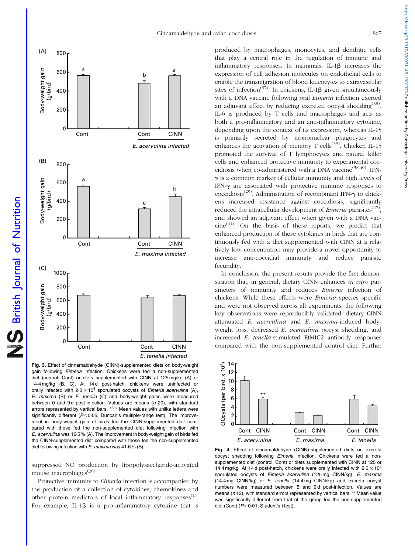<span id="page-5-0"></span>

British Journal of Nutrition

NS British Journal of Nutrition

Fig. 3. Effect of cinnamaldehyde (CINN)-supplemented diets on body-weight gain following Eimeria infection. Chickens were fed a non-supplemented diet (control; Cont) or diets supplemented with CINN at 125 mg/kg (A) or 14·4 mg/kg (B, C). At 14 d post-hatch, chickens were uninfected or orally infected with  $2.0 \times 10^4$  sporulated oocysts of Eimeria acervulina (A), E. maxima (B) or E. tenella (C) and body-weight gains were measured between 0 and 9d post-infection. Values are means  $(n 20)$ , with standard errors represented by vertical bars. a,b,c Mean values with unlike letters were significantly different ( $P$ <0.05; Duncan's multiple-range test). The improvement in body-weight gain of birds fed the CINN-supplemented diet compared with those fed the non-supplemented diet following infection with E. acervulina was 16·5 % (A). The improvement in body-weight gain of birds fed the CINN-supplemented diet compared with those fed the non-supplemented diet following infection with E. maxima was 41·6 % (B).

suppressed NO production by lipopolysaccharide-activated mouse macrophages<sup>(36)</sup>.

Protective immunity to Eimeria infection is accompanied by the production of a collection of cytokines, chemokines and other protein mediators of local inflammatory responses<sup>(1)</sup>. For example, IL-1 $\beta$  is a pro-inflammatory cytokine that is

produced by macrophages, monocytes, and dendritic cells that play a central role in the regulation of immune and inflammatory responses. In mammals, IL-1 $\beta$  increases the expression of cell adhesion molecules on endothelial cells to enable the transmigration of blood leucocytes to extravascular sites of infection<sup>(37)</sup>. In chickens, IL-1 $\beta$  given simultaneously with a DNA vaccine following oral *Eimeria* infection exerted an adjuvant effect by reducing excreted oocyst shedding<sup>(38)</sup>. IL-6 is produced by T cells and macrophages and acts as both a pro-inflammatory and an anti-inflammatory cytokine, depending upon the context of its expression, whereas IL-15 is primarily secreted by mononuclear phagocytes and enhances the activation of memory T cells<sup>(39)</sup>. Chicken IL-15 promoted the survival of T lymphocytes and natural killer cells and enhanced protective immunity to experimental coccidiosis when co-administered with a DNA vaccine<sup>(38,40)</sup>. IFN- $\gamma$  is a common marker of cellular immunity and high levels of IFN- $\gamma$  are associated with protective immune responses to coccidiosis<sup>(29)</sup>. Administration of recombinant IFN- $\gamma$  to chickens increased resistance against coccidiosis, significantly reduced the intracellular development of *Eimeria* parasites<sup> $(27)$ </sup>, and showed an adjuvant effect when given with a DNA vac $cine^{(41)}$ . On the basis of these reports, we predict that enhanced production of these cytokines in birds that are continuously fed with a diet supplemented with CINN at a relatively low concentration may provide a novel opportunity to increase anti-coccidial immunity and reduce parasite fecundity.

In conclusion, the present results provide the first demonstration that, in general, dietary CINN enhances in vitro parameters of immunity and reduces Eimeria infection of chickens. While these effects were Eimeria species specific and were not observed across all experiments, the following key observations were reproducibly validated: dietary CINN attenuated E. acervulina and E. maxima-induced bodyweight loss, decreased E. acervulina oocyst shedding, and increased E. tenella-stimulated EtMIC2 antibody responses compared with the non-supplemented control diet. Further

14 OCysts (per bird, x 107) OOcysts (per bird, x 107) 12 10 8 \*\* 6 4 2 0 Cont CINN Cont CINN Cont CINN E. acervulina E. maxima E. tenella

Fig. 4. Effect of cinnamaldehyde (CINN)-supplemented diets on excreta oocyst shedding following Eimeria infection. Chickens were fed a nonsupplemented diet (control: Cont) or diets supplemented with CINN at 125 or 14.4 mg/kg. At 14d post-hatch, chickens were orally infected with  $2.0 \times 10^4$ sporulated oocysts of Eimeria acervulina (125 mg CINN/kg), E. maxima (14·4 mg CINN/kg) or E. tenella (14·4 mg CINN/kg) and excreta oocyst numbers were measured between 5 and 9 d post-infection. Values are means  $(n 12)$ , with standard errors represented by vertical bars. \*\* Mean value was significantly different from that of the group fed the non-supplemented diet (Cont) ( $P<0.01$ ; Student's t test).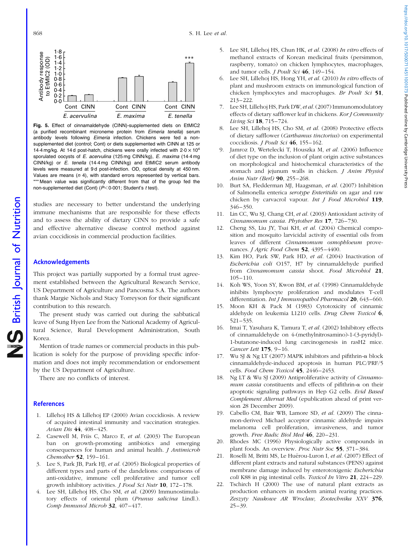<span id="page-6-0"></span>

Fig. 5. Effect of cinnamaldehyde (CINN)-supplemented diets on EtMIC2 (a purified recombinant microneme protein from Eimeria tenella) serum antibody levels following Eimeria infection. Chickens were fed a nonsupplemented diet (control; Cont) or diets supplemented with CINN at 125 or 14.4 mg/kg. At 14 d post-hatch, chickens were orally infected with  $2.0 \times 10^4$ sporulated oocysts of E. acervulina (125 mg CINN/kg), E. maxima (14.4 mg CINN/kg) or E. tenella (14·4 mg CINN/kg) and EtMIC2 serum antibody levels were measured at 9 d post-infection. OD, optical density at 450 nm. Values are means  $(n 4)$ , with standard errors represented by vertical bars. \*\*\* Mean value was significantly different from that of the group fed the non-supplemented diet (Cont) ( $P$ <0.001; Student's t test).

studies are necessary to better understand the underlying immune mechanisms that are responsible for these effects and to assess the ability of dietary CINN to provide a safe and effective alternative disease control method against avian coccidiosis in commercial production facilities.

#### Acknowledgements

This project was partially supported by a formal trust agreement established between the Agricultural Research Service, US Department of Agriculture and Pancosma S.A. The authors thank Margie Nichols and Stacy Torreyson for their significant contribution to this research.

The present study was carried out during the sabbatical leave of Sung Hyen Lee from the National Academy of Agricultural Science, Rural Development Administration, South Korea.

Mention of trade names or commercial products in this publication is solely for the purpose of providing specific information and does not imply recommendation or endorsement by the US Department of Agriculture.

There are no conflicts of interest.

#### **References**

- 1. Lillehoj HS & Lillehoj EP (2000) Avian coccidiosis. A review of acquired intestinal immunity and vaccination strategies. Avian Dis 44, 408–425.
- 2. Casewell M, Friis C, Marco E, et al. (2003) The European ban on growth-promoting antibiotics and emerging consequences for human and animal health. J Antimicrob Chemother **52**, 159-161.
- 3. Lee S, Park JB, Park HJ, et al. (2005) Biological properties of different types and parts of the dandelions: comparisons of anti-oxidative, immune cell proliferative and tumor cell growth inhibitory activities. J Food Sci Nutr 10, 172–178.
- 4. Lee SH, Lillehoj HS, Cho SM, et al. (2009) Immunostimulatory effects of oriental plum (Prunus salicina Lindl.). Comp Immunol Microb 32, 407–417.
- 5. Lee SH, Lillehoj HS, Chun HK, et al. (2008) In vitro effects of methanol extracts of Korean medicinal fruits (persimmon, raspberry, tomato) on chicken lymphocytes, macrophages, and tumor cells. J Poult Sci 46, 149–154.
- 6. Lee SH, Lillehoj HS, Hong YH, et al. (2010) In vitro effects of plant and mushroom extracts on immunological function of chicken lymphocytes and macrophages. Br Poult Sci 51, 213–222.
- 7. Lee SH, Lillehoj HS, Park DW, et al.(2007) Immunomodulatory effects of dietary safflower leaf in chickens. Kor J Community Living Sci 18, 715–724.
- 8. Lee SH, Lillehoj HS, Cho SM, et al. (2008) Protective effects of dietary safflower (Carthamus tinctorius) on experimental coccidiosis. J Poult Sci 46, 155–162.
- 9. Jamroz D, Wertelecki T, Houszka M, et al. (2006) Influence of diet type on the inclusion of plant origin active substances on morphological and histochemical characteristics of the stomach and jejunum walls in chicken. *J Anim Physiol* Anim Nutr (Berl) 90, 255–268.
- 10. Burt SA, Fledderman MJ, Haagsman, et al. (2007) Inhibition of Salmonella enterica serotype Enteritidis on agar and raw chicken by carvacrol vapour. Int J Food Microbiol 119, 346–350.
- 11. Lin CC, Wu SJ, Chang CH, et al. (2003) Antioxidant activity of Cinnamomum cassia. Phytother Res 17, 726–730.
- 12. Cheng SS, Liu JY, Tsai KH, et al. (2004) Chemical composition and mosquito larvicidal activity of essential oils from leaves of different Cinnamomum osmophloeum provenances. J Agric Food Chem 52, 4395-4400.
- 13. Kim HO, Park SW, Park HD, et al. (2004) Inactivation of Escherichia coli O157, H7 by cinnamaldehyde purified from Cinnamomum cassia shoot. Food Microbiol 21, 105–110.
- 14. Koh WS, Yoon SY, Kwon BM, et al. (1998) Cinnamaldehyde inhibits lymphocyte proliferation and modulates T-cell differentiation. *Int J Immunopathol Pharmacol* 20, 643-660.
- 15. Moon KH & Pack M (1983) Cytotoxicity of cinnamic aldehyde on leukemia L1210 cells. Drug Chem Toxicol 6, 521–535.
- 16. Imai T, Yasuhara K, Tamura T, et al. (2002) Inhibitory effects of cinnamaldehyde on 4-(methylnitrosamino)-1-(3-pyridyl)- 1-butanone-induced lung carcinogenesis in rasH2 mice. Cancer Lett 175, 9–16.
- 17. Wu SJ & Ng LT (2007) MAPK inhibitors and pifithrin- $\alpha$  block cinnamaldehyde-induced apoptosis in human PLC/PRF/5 cells. Food Chem Toxicol 45, 2446–2453.
- 18. Ng LT & Wu SJ (2009) Antiproliferative activity of Cinnamomum cassia constituents and effects of pifithrin- $\alpha$  on their apoptotic signaling pathways in Hep G2 cells. Evid Based Complement Alternat Med (epublication ahead of print version 28 December 2009).
- 19. Cabello CM, Bair WB, Lamore SD, et al. (2009) The cinnamon-derived Michael acceptor cinnamic aldehyde impairs melanoma cell proliferation, invasiveness, and tumor growth. Free Radic Biol Med 46, 220–231.
- 20. Rhodes MC (1996) Physiologically active compounds in plant foods. An overview. Proc Nutr Soc 55, 371–384.
- 21. Roselli M, Britti MS, Le Huërou-Luron I, et al. (2007) Effect of different plant extracts and natural substances (PENS) against membrane damage induced by enterotoxigenic Escherichia coli K88 in pig intestinal cells. Toxicol In Vitro 21, 224–229.
- 22. Tschirch H (2000) The use of natural plant extracts as production enhancers in modern animal rearing practices. Zeszyty Naukowe AR Wroclaw, Zootechnika XXV 376,  $25 - 39.$